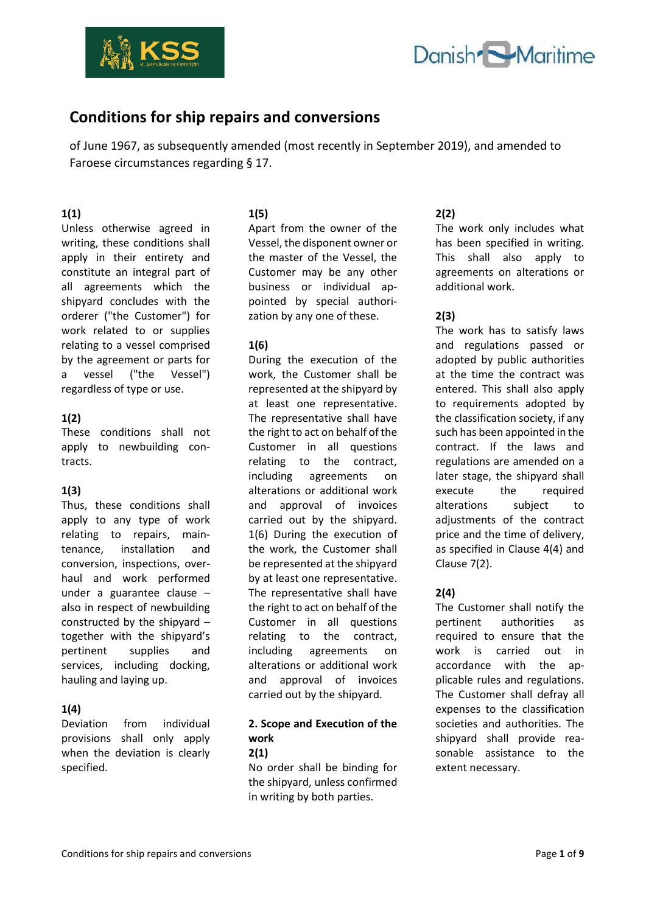



# **Conditions for ship repairs and conversions**

of June 1967, as subsequently amended (most recently in September 2019), and amended to Faroese circumstances regarding § 17.

#### **1(1)**

Unless otherwise agreed in writing, these conditions shall apply in their entirety and constitute an integral part of all agreements which the shipyard concludes with the orderer ("the Customer") for work related to or supplies relating to a vessel comprised by the agreement or parts for a vessel ("the Vessel") regardless of type or use.

## **1(2)**

These conditions shall not apply to newbuilding contracts.

#### **1(3)**

Thus, these conditions shall apply to any type of work relating to repairs, maintenance, installation and conversion, inspections, overhaul and work performed under a guarantee clause – also in respect of newbuilding constructed by the shipyard – together with the shipyard's pertinent supplies and services, including docking, hauling and laying up.

## **1(4)**

Deviation from individual provisions shall only apply when the deviation is clearly specified.

## **1(5)**

Apart from the owner of the Vessel, the disponent owner or the master of the Vessel, the Customer may be any other business or individual appointed by special authorization by any one of these.

## **1(6)**

During the execution of the work, the Customer shall be represented at the shipyard by at least one representative. The representative shall have the right to act on behalf of the Customer in all questions relating to the contract, including agreements on alterations or additional work and approval of invoices carried out by the shipyard. 1(6) During the execution of the work, the Customer shall be represented at the shipyard by at least one representative. The representative shall have the right to act on behalf of the Customer in all questions relating to the contract, including agreements on alterations or additional work and approval of invoices carried out by the shipyard.

# **2. Scope and Execution of the work**

# **2(1)**

No order shall be binding for the shipyard, unless confirmed in writing by both parties.

# **2(2)**

The work only includes what has been specified in writing. This shall also apply to agreements on alterations or additional work.

## **2(3)**

The work has to satisfy laws and regulations passed or adopted by public authorities at the time the contract was entered. This shall also apply to requirements adopted by the classification society, if any such has been appointed in the contract. If the laws and regulations are amended on a later stage, the shipyard shall execute the required alterations subject to adjustments of the contract price and the time of delivery, as specified in Clause 4(4) and Clause 7(2).

## **2(4)**

The Customer shall notify the pertinent authorities as required to ensure that the work is carried out in accordance with the applicable rules and regulations. The Customer shall defray all expenses to the classification societies and authorities. The shipyard shall provide reasonable assistance to the extent necessary.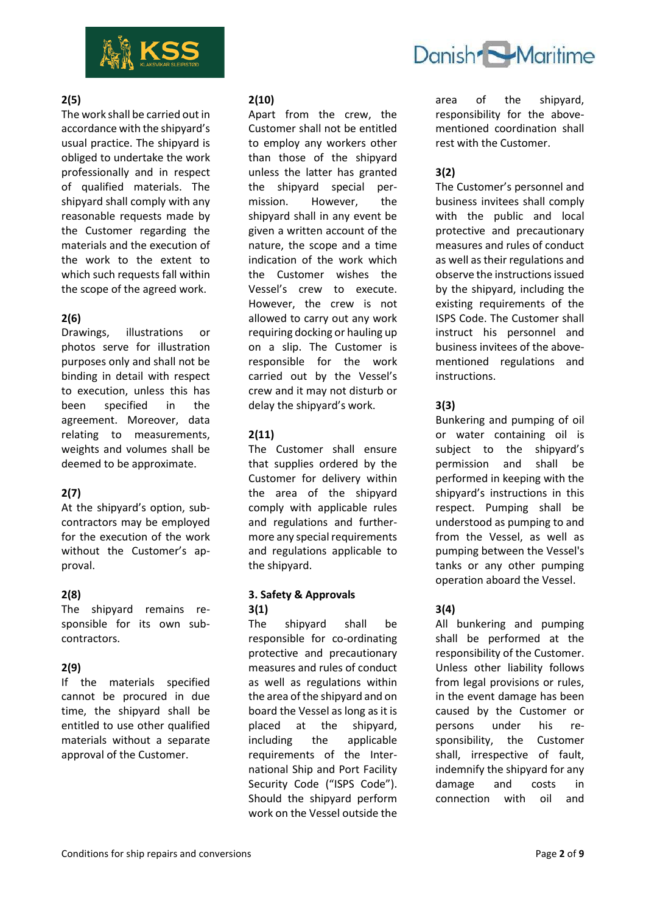

# Danish Maritime

## **2(5)**

The work shall be carried out in accordance with the shipyard's usual practice. The shipyard is obliged to undertake the work professionally and in respect of qualified materials. The shipyard shall comply with any reasonable requests made by the Customer regarding the materials and the execution of the work to the extent to which such requests fall within the scope of the agreed work.

## **2(6)**

Drawings, illustrations or photos serve for illustration purposes only and shall not be binding in detail with respect to execution, unless this has been specified in the agreement. Moreover, data relating to measurements, weights and volumes shall be deemed to be approximate.

## **2(7)**

At the shipyard's option, subcontractors may be employed for the execution of the work without the Customer's approval.

## **2(8)**

The shipyard remains responsible for its own subcontractors.

## **2(9)**

If the materials specified cannot be procured in due time, the shipyard shall be entitled to use other qualified materials without a separate approval of the Customer.

## **2(10)**

Apart from the crew, the Customer shall not be entitled to employ any workers other than those of the shipyard unless the latter has granted the shipyard special permission. However, the shipyard shall in any event be given a written account of the nature, the scope and a time indication of the work which the Customer wishes the Vessel's crew to execute. However, the crew is not allowed to carry out any work requiring docking or hauling up on a slip. The Customer is responsible for the work carried out by the Vessel's crew and it may not disturb or delay the shipyard's work.

# **2(11)**

The Customer shall ensure that supplies ordered by the Customer for delivery within the area of the shipyard comply with applicable rules and regulations and furthermore any special requirements and regulations applicable to the shipyard.

## **3. Safety & Approvals 3(1)**

The shipyard shall be responsible for co-ordinating protective and precautionary measures and rules of conduct as well as regulations within the area of the shipyard and on board the Vessel as long as it is placed at the shipyard, including the applicable requirements of the International Ship and Port Facility Security Code ("ISPS Code"). Should the shipyard perform work on the Vessel outside the

area of the shipyard, responsibility for the abovementioned coordination shall rest with the Customer.

# **3(2)**

The Customer's personnel and business invitees shall comply with the public and local protective and precautionary measures and rules of conduct as well as their regulations and observe the instructions issued by the shipyard, including the existing requirements of the ISPS Code. The Customer shall instruct his personnel and business invitees of the abovementioned regulations and instructions.

## **3(3)**

Bunkering and pumping of oil or water containing oil is subject to the shipyard's permission and shall be performed in keeping with the shipyard's instructions in this respect. Pumping shall be understood as pumping to and from the Vessel, as well as pumping between the Vessel's tanks or any other pumping operation aboard the Vessel.

## **3(4)**

All bunkering and pumping shall be performed at the responsibility of the Customer. Unless other liability follows from legal provisions or rules, in the event damage has been caused by the Customer or persons under his responsibility, the Customer shall, irrespective of fault, indemnify the shipyard for any damage and costs in connection with oil and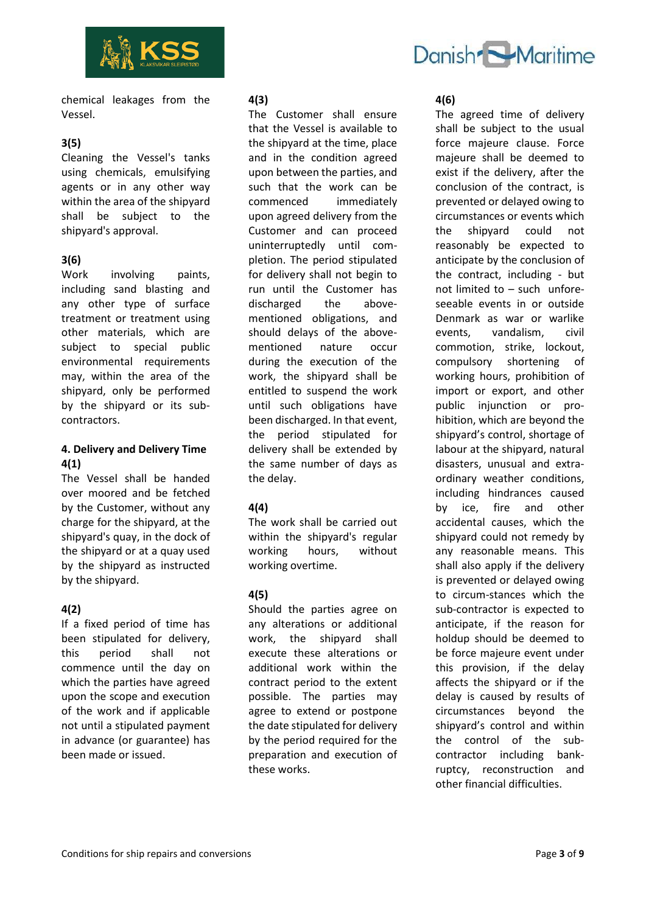



chemical leakages from the Vessel.

## **3(5)**

Cleaning the Vessel's tanks using chemicals, emulsifying agents or in any other way within the area of the shipyard shall be subject to the shipyard's approval.

## **3(6)**

Work involving paints, including sand blasting and any other type of surface treatment or treatment using other materials, which are subject to special public environmental requirements may, within the area of the shipyard, only be performed by the shipyard or its subcontractors.

#### **4. Delivery and Delivery Time 4(1)**

The Vessel shall be handed over moored and be fetched by the Customer, without any charge for the shipyard, at the shipyard's quay, in the dock of the shipyard or at a quay used by the shipyard as instructed by the shipyard.

#### **4(2)**

If a fixed period of time has been stipulated for delivery, this period shall not commence until the day on which the parties have agreed upon the scope and execution of the work and if applicable not until a stipulated payment in advance (or guarantee) has been made or issued.

#### **4(3)**

The Customer shall ensure that the Vessel is available to the shipyard at the time, place and in the condition agreed upon between the parties, and such that the work can be commenced immediately upon agreed delivery from the Customer and can proceed uninterruptedly until completion. The period stipulated for delivery shall not begin to run until the Customer has discharged the abovementioned obligations, and should delays of the abovementioned nature occur during the execution of the work, the shipyard shall be entitled to suspend the work until such obligations have been discharged. In that event, the period stipulated for delivery shall be extended by the same number of days as the delay.

#### **4(4)**

The work shall be carried out within the shipyard's regular working hours, without working overtime.

#### **4(5)**

Should the parties agree on any alterations or additional work, the shipyard shall execute these alterations or additional work within the contract period to the extent possible. The parties may agree to extend or postpone the date stipulated for delivery by the period required for the preparation and execution of these works.

**4(6)**

The agreed time of delivery shall be subject to the usual force majeure clause. Force majeure shall be deemed to exist if the delivery, after the conclusion of the contract, is prevented or delayed owing to circumstances or events which the shipyard could not reasonably be expected to anticipate by the conclusion of the contract, including - but not limited to – such unforeseeable events in or outside Denmark as war or warlike events, vandalism, civil commotion, strike, lockout, compulsory shortening of working hours, prohibition of import or export, and other public injunction or prohibition, which are beyond the shipyard's control, shortage of labour at the shipyard, natural disasters, unusual and extraordinary weather conditions, including hindrances caused by ice, fire and other accidental causes, which the shipyard could not remedy by any reasonable means. This shall also apply if the delivery is prevented or delayed owing to circum-stances which the sub-contractor is expected to anticipate, if the reason for holdup should be deemed to be force majeure event under this provision, if the delay affects the shipyard or if the delay is caused by results of circumstances beyond the shipyard's control and within the control of the subcontractor including bankruptcy, reconstruction and other financial difficulties.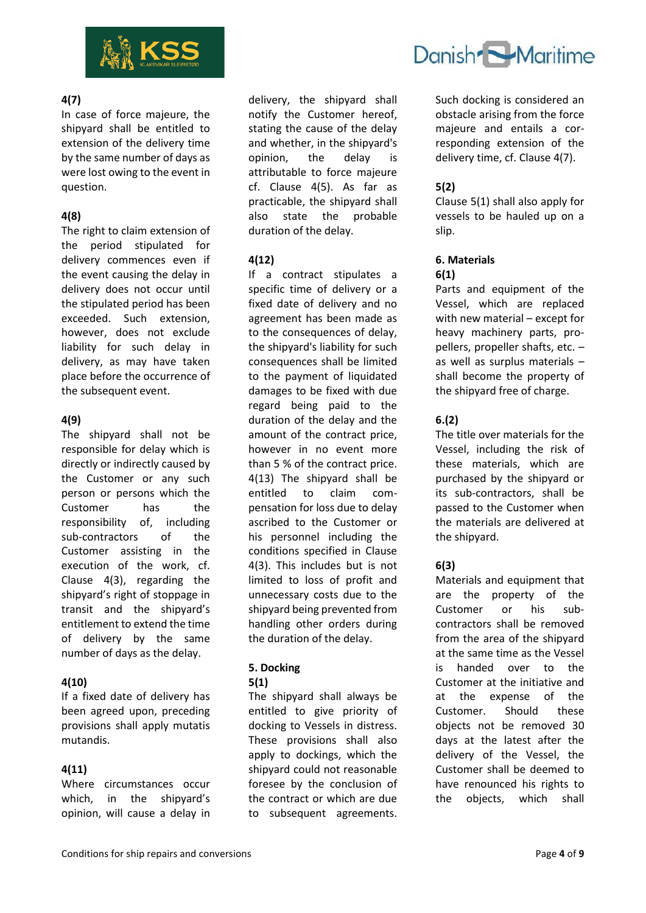

#### **4(7)**

In case of force majeure, the shipyard shall be entitled to extension of the delivery time by the same number of days as were lost owing to the event in question.

## **4(8)**

The right to claim extension of the period stipulated for delivery commences even if the event causing the delay in delivery does not occur until the stipulated period has been exceeded. Such extension, however, does not exclude liability for such delay in delivery, as may have taken place before the occurrence of the subsequent event.

## **4(9)**

The shipyard shall not be responsible for delay which is directly or indirectly caused by the Customer or any such person or persons which the Customer has the responsibility of, including sub-contractors of the Customer assisting in the execution of the work, cf. Clause 4(3), regarding the shipyard's right of stoppage in transit and the shipyard's entitlement to extend the time of delivery by the same number of days as the delay.

#### **4(10)**

If a fixed date of delivery has been agreed upon, preceding provisions shall apply mutatis mutandis.

#### **4(11)**

Where circumstances occur which, in the shipyard's opinion, will cause a delay in

delivery, the shipyard shall notify the Customer hereof, stating the cause of the delay and whether, in the shipyard's opinion, the delay is attributable to force majeure cf. Clause 4(5). As far as practicable, the shipyard shall also state the probable duration of the delay.

## **4(12)**

If a contract stipulates a specific time of delivery or a fixed date of delivery and no agreement has been made as to the consequences of delay, the shipyard's liability for such consequences shall be limited to the payment of liquidated damages to be fixed with due regard being paid to the duration of the delay and the amount of the contract price, however in no event more than 5 % of the contract price. 4(13) The shipyard shall be entitled to claim compensation for loss due to delay ascribed to the Customer or his personnel including the conditions specified in Clause 4(3). This includes but is not limited to loss of profit and unnecessary costs due to the shipyard being prevented from handling other orders during the duration of the delay.

# **5. Docking**

#### **5(1)**

The shipyard shall always be entitled to give priority of docking to Vessels in distress. These provisions shall also apply to dockings, which the shipyard could not reasonable foresee by the conclusion of the contract or which are due to subsequent agreements.



Such docking is considered an obstacle arising from the force majeure and entails a corresponding extension of the delivery time, cf. Clause 4(7).

## **5(2)**

Clause 5(1) shall also apply for vessels to be hauled up on a slip.

#### **6. Materials 6(1)**

Parts and equipment of the Vessel, which are replaced with new material – except for heavy machinery parts, propellers, propeller shafts, etc. – as well as surplus materials – shall become the property of the shipyard free of charge.

## **6.(2)**

The title over materials for the Vessel, including the risk of these materials, which are purchased by the shipyard or its sub-contractors, shall be passed to the Customer when the materials are delivered at the shipyard.

#### **6(3)**

Materials and equipment that are the property of the Customer or his subcontractors shall be removed from the area of the shipyard at the same time as the Vessel is handed over to the Customer at the initiative and at the expense of the Customer. Should these objects not be removed 30 days at the latest after the delivery of the Vessel, the Customer shall be deemed to have renounced his rights to the objects, which shall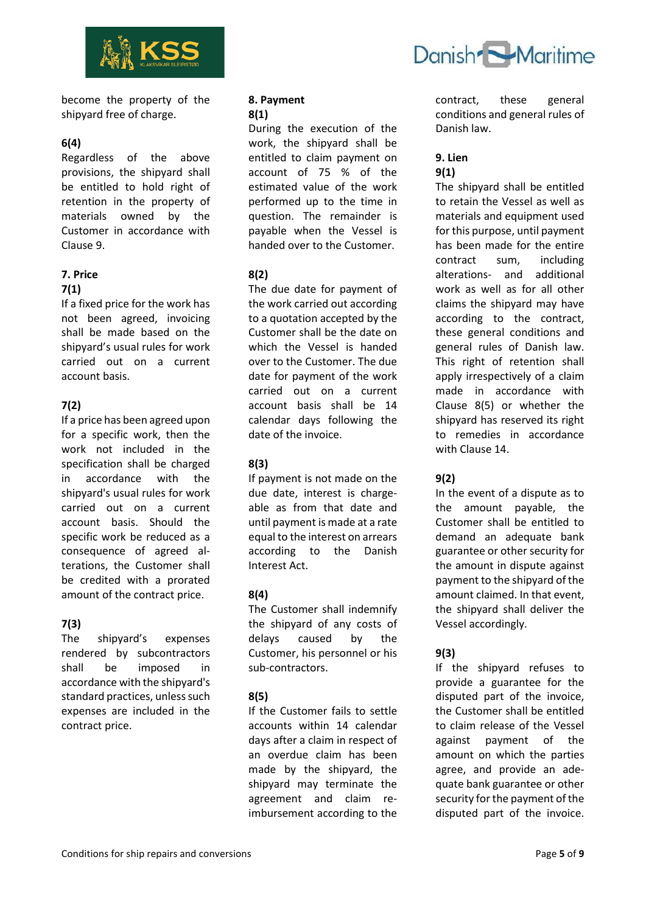

become the property of the shipyard free of charge.

#### **6(4)**

Regardless of the above provisions, the shipyard shall be entitled to hold right of retention in the property of materials owned by the Customer in accordance with Clause 9.

# **7. Price**

## **7(1)**

If a fixed price for the work has not been agreed, invoicing shall be made based on the shipyard's usual rules for work carried out on a current account basis.

## **7(2)**

If a price has been agreed upon for a specific work, then the work not included in the specification shall be charged in accordance with the shipyard's usual rules for work carried out on a current account basis. Should the specific work be reduced as a consequence of agreed alterations, the Customer shall be credited with a prorated amount of the contract price.

## **7(3)**

The shipyard's expenses rendered by subcontractors shall be imposed in accordance with the shipyard's standard practices, unless such expenses are included in the contract price.

#### **8. Payment 8(1)**

During the execution of the work, the shipyard shall be entitled to claim payment on account of 75 % of the estimated value of the work performed up to the time in question. The remainder is payable when the Vessel is handed over to the Customer.

## **8(2)**

The due date for payment of the work carried out according to a quotation accepted by the Customer shall be the date on which the Vessel is handed over to the Customer. The due date for payment of the work carried out on a current account basis shall be 14 calendar days following the date of the invoice.

# **8(3)**

If payment is not made on the due date, interest is chargeable as from that date and until payment is made at a rate equal to the interest on arrears according to the Danish Interest Act.

## **8(4)**

The Customer shall indemnify the shipyard of any costs of delays caused by the Customer, his personnel or his sub-contractors.

## **8(5)**

If the Customer fails to settle accounts within 14 calendar days after a claim in respect of an overdue claim has been made by the shipyard, the shipyard may terminate the agreement and claim reimbursement according to the



contract, these general conditions and general rules of Danish law.

# **9. Lien 9(1)**

The shipyard shall be entitled to retain the Vessel as well as materials and equipment used for this purpose, until payment has been made for the entire contract sum, including alterations- and additional work as well as for all other claims the shipyard may have according to the contract, these general conditions and general rules of Danish law. This right of retention shall apply irrespectively of a claim made in accordance with Clause 8(5) or whether the shipyard has reserved its right to remedies in accordance with Clause 14.

## **9(2)**

In the event of a dispute as to the amount payable, the Customer shall be entitled to demand an adequate bank guarantee or other security for the amount in dispute against payment to the shipyard of the amount claimed. In that event, the shipyard shall deliver the Vessel accordingly.

## **9(3)**

If the shipyard refuses to provide a guarantee for the disputed part of the invoice, the Customer shall be entitled to claim release of the Vessel against payment of the amount on which the parties agree, and provide an adequate bank guarantee or other security for the payment of the disputed part of the invoice.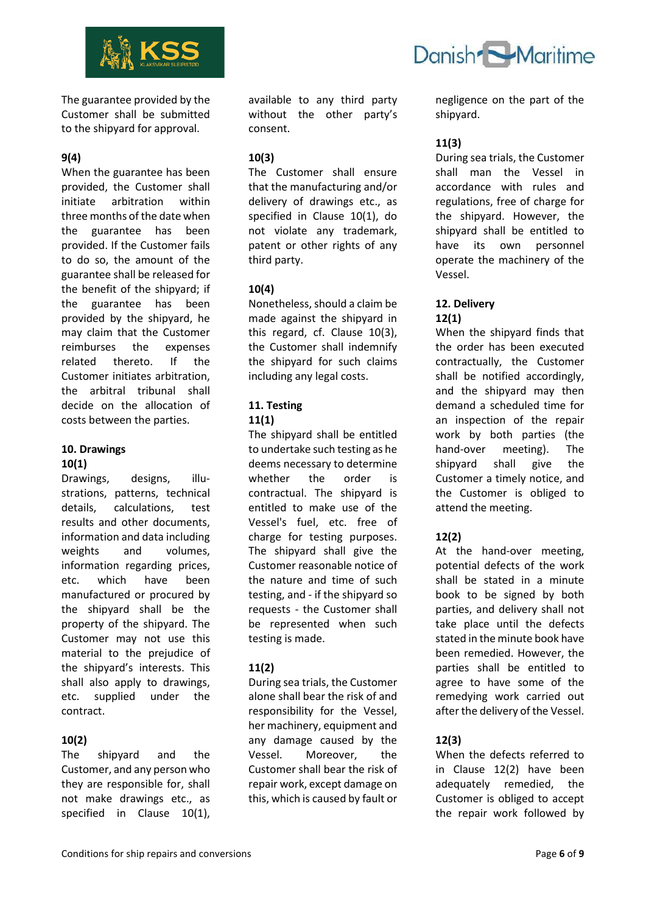

The guarantee provided by the Customer shall be submitted to the shipyard for approval.

## **9(4)**

When the guarantee has been provided, the Customer shall initiate arbitration within three months of the date when the guarantee has been provided. If the Customer fails to do so, the amount of the guarantee shall be released for the benefit of the shipyard; if the guarantee has been provided by the shipyard, he may claim that the Customer reimburses the expenses related thereto. If the Customer initiates arbitration, the arbitral tribunal shall decide on the allocation of costs between the parties.

## **10. Drawings 10(1)**

Drawings, designs, illustrations, patterns, technical details, calculations, test results and other documents, information and data including weights and volumes, information regarding prices, etc. which have been manufactured or procured by the shipyard shall be the property of the shipyard. The Customer may not use this material to the prejudice of the shipyard's interests. This shall also apply to drawings, etc. supplied under the contract.

## **10(2)**

The shipyard and the Customer, and any person who they are responsible for, shall not make drawings etc., as specified in Clause 10(1),

available to any third party without the other party's consent.

#### **10(3)**

The Customer shall ensure that the manufacturing and/or delivery of drawings etc., as specified in Clause 10(1), do not violate any trademark, patent or other rights of any third party.

## **10(4)**

Nonetheless, should a claim be made against the shipyard in this regard, cf. Clause 10(3), the Customer shall indemnify the shipyard for such claims including any legal costs.

## **11. Testing 11(1)**

The shipyard shall be entitled to undertake such testing as he deems necessary to determine whether the order is contractual. The shipyard is entitled to make use of the Vessel's fuel, etc. free of charge for testing purposes. The shipyard shall give the Customer reasonable notice of the nature and time of such testing, and - if the shipyard so requests - the Customer shall be represented when such testing is made.

## **11(2)**

During sea trials, the Customer alone shall bear the risk of and responsibility for the Vessel, her machinery, equipment and any damage caused by the Vessel. Moreover, the Customer shall bear the risk of repair work, except damage on this, which is caused by fault or

negligence on the part of the shipyard.

Danish Maritime

# **11(3)**

During sea trials, the Customer shall man the Vessel in accordance with rules and regulations, free of charge for the shipyard. However, the shipyard shall be entitled to have its own personnel operate the machinery of the Vessel.

## **12. Delivery 12(1)**

When the shipyard finds that the order has been executed contractually, the Customer shall be notified accordingly, and the shipyard may then demand a scheduled time for an inspection of the repair work by both parties (the hand-over meeting). The shipyard shall give the Customer a timely notice, and the Customer is obliged to attend the meeting.

# **12(2)**

At the hand-over meeting, potential defects of the work shall be stated in a minute book to be signed by both parties, and delivery shall not take place until the defects stated in the minute book have been remedied. However, the parties shall be entitled to agree to have some of the remedying work carried out after the delivery of the Vessel.

## **12(3)**

When the defects referred to in Clause 12(2) have been adequately remedied, the Customer is obliged to accept the repair work followed by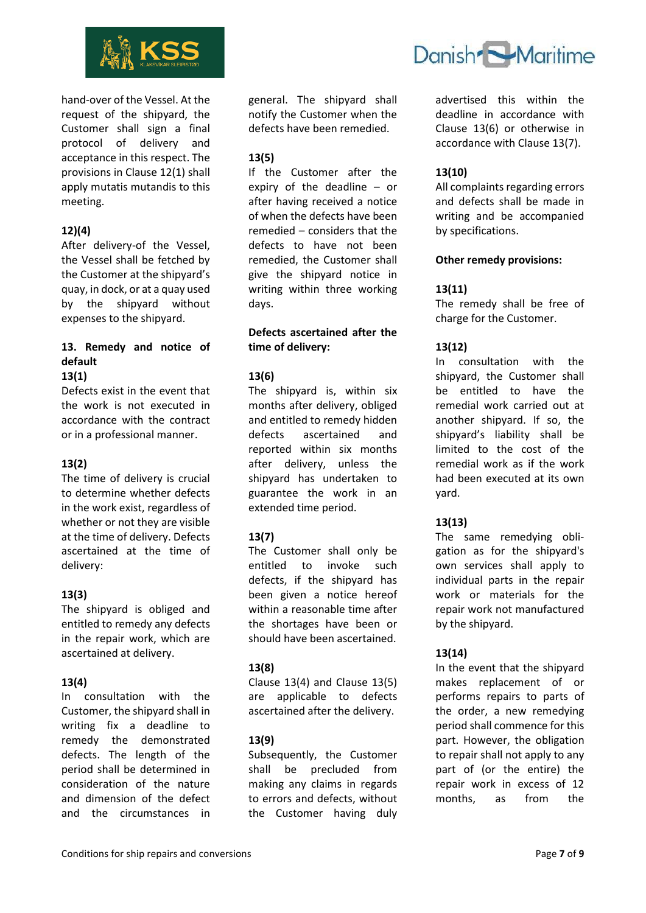

hand-over of the Vessel. At the request of the shipyard, the Customer shall sign a final protocol of delivery and acceptance in this respect. The provisions in Clause 12(1) shall apply mutatis mutandis to this meeting.

## **12)(4)**

After delivery-of the Vessel, the Vessel shall be fetched by the Customer at the shipyard's quay, in dock, or at a quay used by the shipyard without expenses to the shipyard.

#### **13. Remedy and notice of default 13(1)**

Defects exist in the event that the work is not executed in accordance with the contract or in a professional manner.

#### **13(2)**

The time of delivery is crucial to determine whether defects in the work exist, regardless of whether or not they are visible at the time of delivery. Defects ascertained at the time of delivery:

#### **13(3)**

The shipyard is obliged and entitled to remedy any defects in the repair work, which are ascertained at delivery.

#### **13(4)**

In consultation with the Customer, the shipyard shall in writing fix a deadline to remedy the demonstrated defects. The length of the period shall be determined in consideration of the nature and dimension of the defect and the circumstances in

general. The shipyard shall notify the Customer when the defects have been remedied.

#### **13(5)**

If the Customer after the expiry of the deadline – or after having received a notice of when the defects have been remedied – considers that the defects to have not been remedied, the Customer shall give the shipyard notice in writing within three working days.

#### **Defects ascertained after the time of delivery:**

#### **13(6)**

The shipyard is, within six months after delivery, obliged and entitled to remedy hidden defects ascertained and reported within six months after delivery, unless the shipyard has undertaken to guarantee the work in an extended time period.

#### **13(7)**

The Customer shall only be entitled to invoke such defects, if the shipyard has been given a notice hereof within a reasonable time after the shortages have been or should have been ascertained.

#### **13(8)**

Clause 13(4) and Clause 13(5) are applicable to defects ascertained after the delivery.

#### **13(9)**

Subsequently, the Customer shall be precluded from making any claims in regards to errors and defects, without the Customer having duly



advertised this within the deadline in accordance with Clause 13(6) or otherwise in accordance with Clause 13(7).

#### **13(10)**

All complaints regarding errors and defects shall be made in writing and be accompanied by specifications.

#### **Other remedy provisions:**

#### **13(11)**

The remedy shall be free of charge for the Customer.

#### **13(12)**

In consultation with the shipyard, the Customer shall be entitled to have the remedial work carried out at another shipyard. If so, the shipyard's liability shall be limited to the cost of the remedial work as if the work had been executed at its own yard.

#### **13(13)**

The same remedying obligation as for the shipyard's own services shall apply to individual parts in the repair work or materials for the repair work not manufactured by the shipyard.

#### **13(14)**

In the event that the shipyard makes replacement of or performs repairs to parts of the order, a new remedying period shall commence for this part. However, the obligation to repair shall not apply to any part of (or the entire) the repair work in excess of 12 months, as from the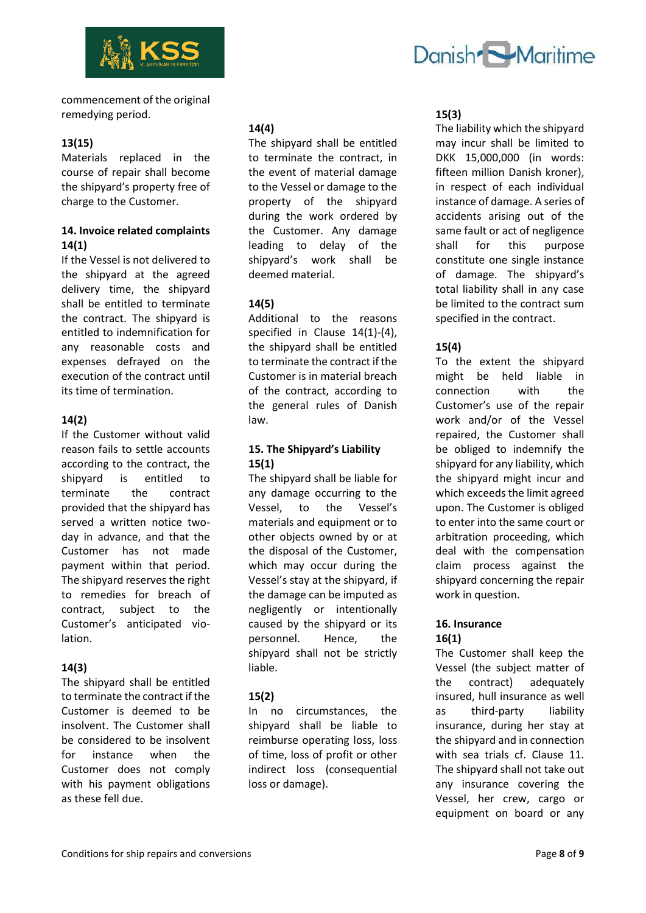

commencement of the original remedying period.

## **13(15)**

Materials replaced in the course of repair shall become the shipyard's property free of charge to the Customer.

#### **14. Invoice related complaints 14(1)**

If the Vessel is not delivered to the shipyard at the agreed delivery time, the shipyard shall be entitled to terminate the contract. The shipyard is entitled to indemnification for any reasonable costs and expenses defrayed on the execution of the contract until its time of termination.

## **14(2)**

If the Customer without valid reason fails to settle accounts according to the contract, the shipyard is entitled to terminate the contract provided that the shipyard has served a written notice twoday in advance, and that the Customer has not made payment within that period. The shipyard reserves the right to remedies for breach of contract, subject to the Customer's anticipated violation.

#### **14(3)**

The shipyard shall be entitled to terminate the contract if the Customer is deemed to be insolvent. The Customer shall be considered to be insolvent for instance when the Customer does not comply with his payment obligations as these fell due.

#### **14(4)**

The shipyard shall be entitled to terminate the contract, in the event of material damage to the Vessel or damage to the property of the shipyard during the work ordered by the Customer. Any damage leading to delay of the shipyard's work shall be deemed material.

#### **14(5)**

Additional to the reasons specified in Clause 14(1)-(4), the shipyard shall be entitled to terminate the contract if the Customer is in material breach of the contract, according to the general rules of Danish law.

## **15. The Shipyard's Liability 15(1)**

The shipyard shall be liable for any damage occurring to the Vessel, to the Vessel's materials and equipment or to other objects owned by or at the disposal of the Customer, which may occur during the Vessel's stay at the shipyard, if the damage can be imputed as negligently or intentionally caused by the shipyard or its personnel. Hence, the shipyard shall not be strictly liable.

#### **15(2)**

In no circumstances, the shipyard shall be liable to reimburse operating loss, loss of time, loss of profit or other indirect loss (consequential loss or damage).

# Danish Maritime

#### **15(3)**

The liability which the shipyard may incur shall be limited to DKK 15,000,000 (in words: fifteen million Danish kroner), in respect of each individual instance of damage. A series of accidents arising out of the same fault or act of negligence shall for this purpose constitute one single instance of damage. The shipyard's total liability shall in any case be limited to the contract sum specified in the contract.

#### **15(4)**

To the extent the shipyard might be held liable in connection with the Customer's use of the repair work and/or of the Vessel repaired, the Customer shall be obliged to indemnify the shipyard for any liability, which the shipyard might incur and which exceeds the limit agreed upon. The Customer is obliged to enter into the same court or arbitration proceeding, which deal with the compensation claim process against the shipyard concerning the repair work in question.

#### **16. Insurance 16(1)**

The Customer shall keep the Vessel (the subject matter of the contract) adequately insured, hull insurance as well as third-party liability insurance, during her stay at the shipyard and in connection with sea trials cf. Clause 11. The shipyard shall not take out any insurance covering the Vessel, her crew, cargo or equipment on board or any